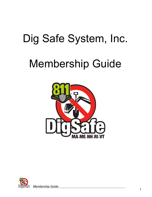# Dig Safe System, Inc.

# Membership Guide



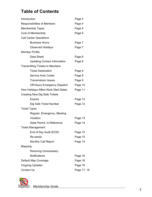## **Table of Contents**

| Introduction                           | Page 3      |
|----------------------------------------|-------------|
| <b>Responsibilities of Members</b>     | Page 4      |
| <b>Membership Types</b>                | Page 5      |
| Cost of Membership                     | Page 6      |
| <b>Call Center Operations</b>          |             |
| <b>Business Hours</b>                  | Page 7      |
| <b>Observed Holidays</b>               | Page 7      |
| <b>Member Profile</b>                  |             |
| Data Sheet                             | Page 8      |
| <b>Updating Contact Information</b>    | Page 8      |
| <b>Transmitting Tickets to Members</b> |             |
| <b>Ticket Destination</b>              | Page 9      |
| <b>Service Area Codes</b>              | Page 9      |
| <b>Transmission Issues</b>             | Page 9      |
| Off-Hours Emergency Dispatch           | Page 10     |
| How Holidays Affect Work Start Dates   | Page 11     |
| <b>Creating New Dig Safe Tickets</b>   |             |
| Exactix                                | Page 12     |
| Dig Safe Ticket Number                 | Page 12     |
| <b>Ticket Types</b>                    |             |
| Regular, Emergency, Blasting           |             |
| Violation                              | Page 13     |
| State Permit, In-Reference             | Page 14     |
| <b>Ticket Management</b>               |             |
| End of Day Audit (EOD)                 | Page 15     |
| Re-sends                               | Page 15     |
| <b>Monthly Call Report</b>             | Page 15     |
| Mapping                                |             |
| <b>Reducing Unnecessary</b>            |             |
| Notifications                          | Page 16     |
| Default Map Coverage                   | Page 16     |
| <b>Ongoing Updates</b>                 | Page 16     |
| Contact Us                             | Page 17, 18 |



 *Membership Guide* <sup>2</sup>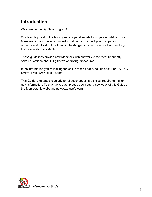## **Introduction**

Welcome to the Dig Safe program!

Our team is proud of the lasting and cooperative relationships we build with our Membership, and we look forward to helping you protect your company's underground infrastructure to avoid the danger, cost, and service loss resulting from excavation accidents.

These guidelines provide new Members with answers to the most frequently asked questions about Dig Safe's operating procedures.

If the information you're looking for isn't in these pages, call us at 811 or 877-DIG-SAFE or visit www.digsafe.com.

This Guide is updated regularly to reflect changes in policies; requirements, or new information. To stay up to date, please download a new copy of this Guide on the Membership webpage at www.digsafe.com.

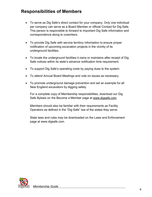## **Responsibilities of Members**

- To serve as Dig Safe's direct contact for your company. Only one individual per company can serve as a Board Member or official Contact for Dig Safe. This person is responsible to forward to important Dig Safe information and correspondence along to coworkers.
- To provide Dig Safe with service territory information to ensure proper notification of upcoming excavation projects in the vicinity of its underground facilities.
- To locate the underground facilities it owns or maintains after receipt of Dig Safe notices within its state's advance notification time requirement.
- To support Dig Safe's operating costs by paying dues to the system.
- To attend Annual Board Meetings and vote on issues as necessary.
- To promote underground damage prevention and set an example for all New England excavators by digging safely.

For a complete copy of Membership responsibilities, download our Dig Safe Bylaws on the Become a Member page at [www.digsafe.com.](http://www.digsafe.com/)

Members should also be familiar with their requirements as Facility Operators as defined in the "Dig Safe" law of the states they serve.

State laws and rules may be downloaded on the Laws and Enforcement page at www.digsafe.com.

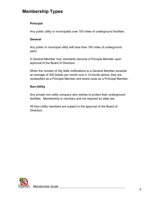## **Membership Types**

#### **Principal**

Any public utility or municipality over 100 miles of underground facilities.

#### **General**

Any public or municipal utility with less than 100 miles of underground plant.

A General Member may voluntarily become a Principal Member upon approval of the Board of Directors.

When the number of Dig Safe notifications to a General Member exceeds an average of 300 tickets per month over a 12-month period, they are reclassified as a Principal Member and share costs as a Principal Member.

#### **Non-Utility**

Any private non-utility company who wishes to protect their underground facilities. Membership is voluntary and not required by state law.

All Non-Utility members are subject to the approval of the Board of Directors.

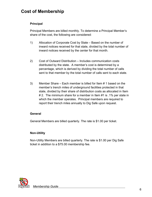### **Cost of Membership**

#### **Principal**

Principal Members are billed monthly. To determine a Principal Member's share of the cost, the following are considered:

- 1) Allocation of Corporate Cost by State Based on the number of inward notices received for that state, divided by the total number of inward notices received by the center for that month.
- 2) Cost of Outward Distribution Includes communication costs distributed by the state. A member's cost is determined by a percentage, which is derived by dividing the total number of calls sent to that member by the total number of calls sent to each state.
- 3) Member Share Each member is billed for Item # 1 based on the member's trench miles of underground facilities protected in that state, divided by their share of distribution costs as allocated in Item # 2. The minimum share for a member in Item #1 is .1% per state in which the member operates. Principal members are required to report their trench miles annually to Dig Safe upon request.

#### **General**

General Members are billed quarterly. The rate is \$1.00 per ticket.

#### **Non-Utility**

Non-Utility Members are billed quarterly. The rate is \$1.00 per Dig Safe ticket in addition to a \$75.00 membership fee.

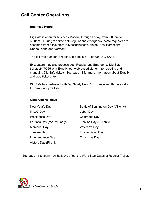## **Call Center Operations**

#### **Business Hours**

Dig Safe is open for business Monday through Friday, from 6:00am to 6:00pm. During this time both regular and emergency locate requests are accepted from excavators in Massachusetts, Maine, New Hampshire, Rhode Island and Vermont.

The toll-free number to reach Dig Safe is 811, or 888-DIG-SAFE.

Excavators may also process both Regular and Emergency Dig Safe tickets 24/7/365 with Exactix, our web-based platform for creating and managing Dig Safe tickets. See page 11 for more information about Exactix and web ticket entry.

Dig Safe has partnered with Dig Safely New York to receive off-hours calls for Emergency Tickets.

#### **Observed Holidays**

| New Year's Day              |  |  |
|-----------------------------|--|--|
| M.L.K. Day                  |  |  |
| President's Day             |  |  |
| Patriot's Day (MA, ME only) |  |  |
| <b>Memorial Day</b>         |  |  |
| Juneteenth                  |  |  |
| Independence Day            |  |  |
| Victory Day (RI only)       |  |  |

Battle of Bennington Day (VT only) Labor Day Columbus Day Election Day (NH only) Veteran's Day Thanksgiving Day Christmas Day

See page 11 to learn how holidays affect the Work Start Dates of Regular Tickets.

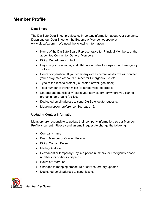### **Member Profile**

#### **Data Sheet**

The Dig Safe Data Sheet provides us important information about your company. Download our Data Sheet on the Become A Member webpage at [www.digsafe.com.](http://www.digsafe.com/) We need the following information:

- Name of the Dig Safe Board Representative for Principal Members, or the appointed Contact for General Members.
- Billing Department contact
- Daytime phone number, and off-hours number for dispatching Emergency Tickets.
- Hours of operation. If your company closes before we do, we will contact your designated off-hours number for Emergency Tickets.
- Type of facilities to protect (i.e., water, sewer, gas, fiber)
- Total number of trench miles (or street miles) to protect.
- State(s) and municipality(ies) in your service territory where you plan to protect underground facilities.
- Dedicated email address to send Dig Safe locate requests.
- Mapping option preference. See page 16.

#### **Updating Contact Information**

Members are responsible to update their company information, so our Member Profile is current. Please send an email request to change the following:

- Company name
- Board Member or Contact Person
- Billing Contact Person
- Mailing Address
- Permanent or temporary Daytime phone numbers, or Emergency phone numbers for off-hours dispatch
- Hours of Operation
- Changes to mapping procedure or service territory updates
- Dedicated email address to send tickets.

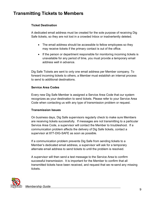## **Transmitting Tickets to Members**

#### **Ticket Destination**

A dedicated email address must be created for the sole purpose of receiving Dig Safe tickets, so they are not lost in a crowded Inbox or inadvertently deleted.

- The email address should be accessible to fellow employees so they may receive tickets if the primary contact is out of the office.
- If the person or department responsible for monitoring incoming tickets is unavailable for any period of time, you must provide a temporary email address well in advance.

Dig Safe Tickets are sent to only one email address per Member company. To forward incoming tickets to others, a Member must establish an internal process to send to additional destinations.

#### **Service Area Codes**

Every new Dig Safe Member is assigned a Service Area Code that our system recognizes as your destination to send tickets. Please refer to your Service Area Code when contacting us with any type of transmission problem or request.

#### **Transmission Issues**

On business days, Dig Safe supervisors regularly check to make sure Members are receiving tickets successfully. If messages are not transmitting to a particular Service Area Code, a supervisor will contact the Member to troubleshoot. If a communication problem affects the delivery of Dig Safe tickets, contact a supervisor at 877-DIG-SAFE as soon as possible.

If a communication problem prevents Dig Safe from sending tickets to a Member's dedicated email address, a supervisor will ask for a temporary alternate email address to send tickets to until the problem is resolved.

A supervisor will then send a test message to the Service Area to confirm successful transmission. It is important for the Member to confirm that all transmitted tickets have been received, and request that we re-send any missing tickets.

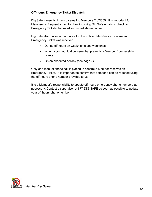#### **Off-hours Emergency Ticket Dispatch**

Dig Safe transmits tickets by email to Members 24/7/365. It is important for Members to frequently monitor their incoming Dig Safe emails to check for Emergency Tickets that need an immediate response.

Dig Safe also places a manual call to the notified Members to confirm an Emergency Ticket was received:

- During off hours on weeknights and weekends.
- When a communication issue that prevents a Member from receiving tickets
- On an observed holiday (see page 7).

Only one manual phone call is placed to confirm a Member receives an Emergency Ticket. It is important to confirm that someone can be reached using the off-hours phone number provided to us.

It is a Member's responsibility to update off-hours emergency phone numbers as necessary. Contact a supervisor at 877-DIG-SAFE as soon as possible to update your off-hours phone number.

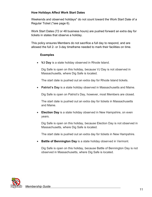#### **How Holidays Affect Work Start Dates**

Weekends and observed holidays\* do not count toward the Work Start Date of a Regular Ticket (\*see page 6).

Work Start Dates (72 or 48 business hours) are pushed forward an extra day for tickets in states that observe a holiday.

This policy ensures Members do not sacrifice a full day to respond, and are allowed the full 2- or 3-day timeframe needed to mark their facilities on time.

#### **Examples**

• **VJ Day** is a state holiday observed in Rhode Island.

Dig Safe is open on this holiday, because VJ Day is not observed in Massachusetts, where Dig Safe is located.

The start date is pushed out an extra day for Rhode Island tickets.

• **Patriot's Day** is a state holiday observed in Massachusetts and Maine.

Dig Safe is open on Patriot's Day, however, most Members are closed.

The start date is pushed out an extra day for tickets in Massachusetts and Maine.

• **Election Day** is a state holiday observed in New Hampshire, on even years.

Dig Safe is open on this holiday, because Election Day is not observed in Massachusetts, where Dig Safe is located.

The start date is pushed out an extra day for tickets in New Hampshire.

• **Battle of Bennington Day** is a state holiday observed in Vermont.

Dig Safe is open on this holiday, because Battle of Bennington Day is not observed in Massachusetts, where Dig Safe is located.

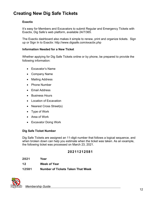## **Creating New Dig Safe Tickets**

#### **Exactix**

It's easy for Members and Excavators to submit Regular and Emergency Tickets with Exactix, Dig Safe's web platform, available 24/7/365.

The Exactix dashboard also makes it simple to renew, print and organize tickets. Sign up or Sign In to Exactix: http://www.digsafe.com/exactix.php

#### **Information Needed for a New Ticket**

Whether applying for Dig Safe Tickets online or by phone, be prepared to provide the following information:

- Excavator's Name
- Company Name
- Mailing Address
- Phone Number
- Email Address
- Business Hours
- Location of Excavation
- Nearest Cross Street(s)
- Type of Work
- Area of Work
- Excavator Doing Work

#### **Dig Safe Ticket Number**

Dig Safe Tickets are assigned an 11-digit number that follows a logical sequence, and when broken down can help you estimate when the ticket was taken. As an example, the following ticket was processed on March 23, 2021.

#### **20211212581**

| 2021  | Year                                     |
|-------|------------------------------------------|
| 12    | <b>Week of Year</b>                      |
| 12581 | <b>Number of Tickets Taken That Week</b> |

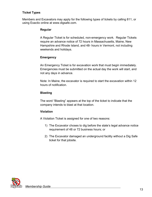#### **Ticket Types**

Members and Excavators may apply for the following types of tickets by calling 811, or using Exactix online at [www.digsafe.com.](http://www.digsafe.com/)

#### **Regular**

A Regular Ticket is for scheduled, non-emergency work. Regular Tickets require an advance notice of 72 hours in Massachusetts, Maine, New Hampshire and Rhode Island, and 48- hours in Vermont, not including weekends and holidays.

#### **Emergency**

An Emergency Ticket is for excavation work that must begin immediately. Emergencies must be submitted on the actual day the work will start, and not any days in advance.

Note: In Maine, the excavator is required to start the excavation within 12 hours of notification.

#### **Blasting**

The word "Blasting" appears at the top of the ticket to indicate that the company intends to blast at that location.

#### **Violation**

A Violation Ticket is assigned for one of two reasons:

- 1) The Excavator choses to dig before the state's legal advance notice requirement of 48 or 72 business hours; or
- 2) The Excavator damaged an underground facility without a Dig Safe ticket for that jobsite.

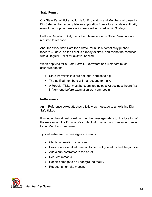#### **State Permit**

Our State Permit ticket option is for Excavators and Members who need a Dig Safe number to complete an application from a local or state authority, even if the proposed excavation work will not start within 30 days.

Unlike a Regular Ticket, the notified Members on a State Permit are not required to respond.

And, the Work Start Date for a State Permit is automatically pushed forward 30 days, so the ticket is already expired, and cannot be confused with a Regular Ticket for excavation work.

When applying for a State Permit, Excavators and Members must acknowledge that:

- State Permit tickets are not legal permits to dig.
- The notified members will not respond to mark.
- A Regular Ticket must be submitted at least 72 business hours (48 in Vermont) before excavation work can begin.

#### **In-Reference**

An In-Reference ticket attaches a follow-up message to an existing Dig Safe ticket.

It includes the original ticket number the message refers to, the location of the excavation, the Excavator's contact information, and message to relay to our Member Companies.

Typical In-Reference messages are sent to:

- Clarify information on a ticket
- Provide additional information to help utility locators find the job site
- Add a sub-contractor to the ticket
- Request remarks
- Report damage to an underground facility
- Request an on-site meeting

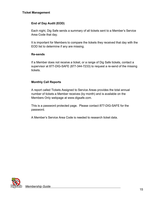#### **End of Day Audit (EOD)**

Each night, Dig Safe sends a summary of all tickets sent to a Member's Service Area Code that day.

It is important for Members to compare the tickets they received that day with the EOD list to determine if any are missing.

#### **Re-sends**

If a Member does not receive a ticket, or a range of Dig Safe tickets, contact a supervisor at 877-DIG-SAFE (877-344-7233) to request a re-send of the missing tickets.

#### **Monthly Call Reports**

A report called Tickets Assigned to Service Areas provides the total annual number of tickets a Member receives (by month) and is available on the Members Only webpage at www.digsafe.com.

This is a password protected page. Please contact 877-DIG-SAFE for the password.

A Member's Service Area Code is needed to research ticket data.

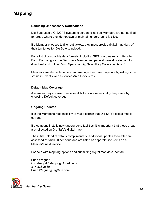## **Mapping**

#### **Reducing Unnecessary Notifications**

Dig Safe uses a GIS/GPS system to screen tickets so Members are not notified for areas where they do not own or maintain underground facilities.

If a Member chooses to filter out tickets, they must provide digital map data of their territories for Dig Safe to upload.

For a list of compatible data formats, including GPS coordinates and Google Earth Format, go to the Become a Member webpage at [www.digsafe.com](http://www.digsafe.com/) to download a PDF titled "GIS Specs for Dig Safe Utility Coverage Data. "

Members are also able to view and manage their own map data by asking to be set up in Exactix with a Service Area Review role.

#### **Default Map Coverage**

A member may choose to receive all tickets in a municipality they serve by choosing Default coverage.

#### **Ongoing Updates**

It is the Member's responsibility to make certain that Dig Safe's digital map is current.

If a company installs new underground facilities, it is important that these areas are reflected on Dig Safe's digital map.

The initial upload of data is complimentary. Additional updates thereafter are assessed at \$180.00 per hour, and are listed as separate line items on a Member's next invoice.

For help with mapping options and submitting digital map data, contact:

Brian Wegner GIS Analyst / Mapping Coordinator 317-826-2560 Brian.Wegner@DigSafe.com

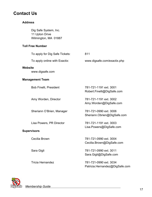## **Contact Us**

#### **Address**

Dig Safe System, Inc. 11 Upton Drive Wilmington, MA 01887

#### **Toll Free Number**

|         | To apply for Dig Safe Tickets: | 811                                                   |
|---------|--------------------------------|-------------------------------------------------------|
|         | To apply online with Exactix:  | www.digsafe.com/exactix.php                           |
| Website | www.digsafe.com                |                                                       |
|         | <b>Management Team</b>         |                                                       |
|         | <b>Bob Finelli, President</b>  | 781-721-1191 ext. 3001<br>Robert.Finelli@DigSafe.com  |
|         | Amy Worden, Director           | 781-721-1191 ext. 3002<br>Amy.Worden@DigSafe.com      |
|         | Sheriann O'Brien, Manager      | 781-721-0990 ext. 3006<br>Sheriann.Obrien@DigSafe.com |
|         | Lisa Powers, PR Director       | 781-721-1191 ext. 3003<br>Lisa.Powers@DigSafe.com     |
|         | <b>Supervisors</b>             |                                                       |
|         | Cecilia Brown                  | 781-721-0990 ext. 3004<br>Cecilia.Brown@DigSafe.com   |
|         | Sara Gigli                     | 781-721-0990 ext. 3011<br>Sara Gigli@DigSafe.com      |
|         |                                |                                                       |

Tricia Hernandez 781-721-0990 ext. 3034 Patricia.Hernandez@DigSafe.com



 *Membership Guide* <sup>17</sup>